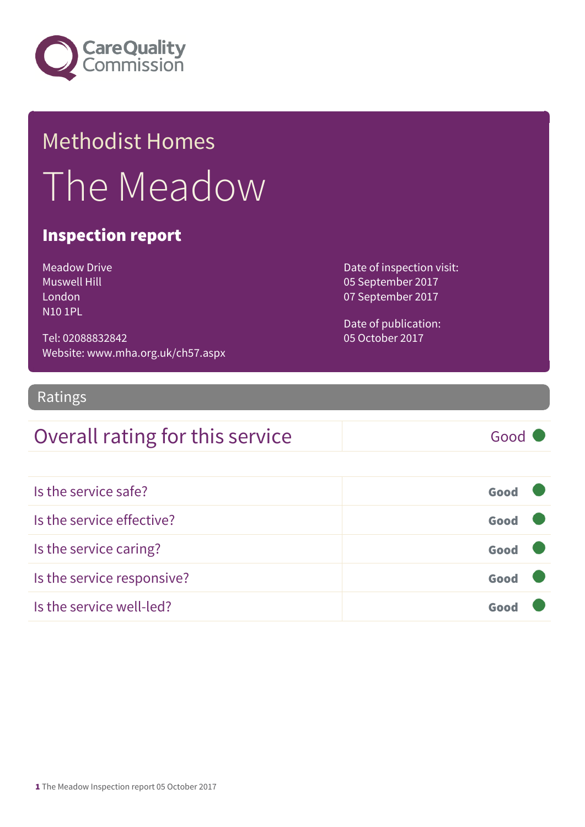

## Methodist Homes The Meadow

#### Inspection report

Meadow Drive Muswell Hill London N10 1PL

Tel: 02088832842 Website: www.mha.org.uk/ch57.aspx Date of inspection visit: 05 September 2017 07 September 2017

Date of publication: 05 October 2017

#### Ratings

#### Overall rating for this service Good

| Is the service safe?       | Good |
|----------------------------|------|
| Is the service effective?  | Good |
| Is the service caring?     | Good |
| Is the service responsive? | Good |
| Is the service well-led?   | Goo  |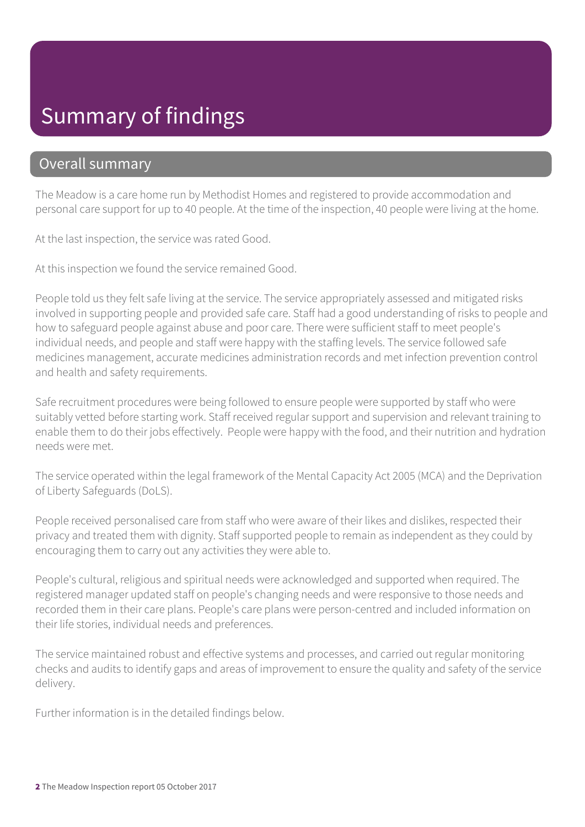#### Summary of findings

#### Overall summary

The Meadow is a care home run by Methodist Homes and registered to provide accommodation and personal care support for up to 40 people. At the time of the inspection, 40 people were living at the home.

At the last inspection, the service was rated Good.

At this inspection we found the service remained Good.

People told us they felt safe living at the service. The service appropriately assessed and mitigated risks involved in supporting people and provided safe care. Staff had a good understanding of risks to people and how to safeguard people against abuse and poor care. There were sufficient staff to meet people's individual needs, and people and staff were happy with the staffing levels. The service followed safe medicines management, accurate medicines administration records and met infection prevention control and health and safety requirements.

Safe recruitment procedures were being followed to ensure people were supported by staff who were suitably vetted before starting work. Staff received regular support and supervision and relevant training to enable them to do their jobs effectively. People were happy with the food, and their nutrition and hydration needs were met.

The service operated within the legal framework of the Mental Capacity Act 2005 (MCA) and the Deprivation of Liberty Safeguards (DoLS).

People received personalised care from staff who were aware of their likes and dislikes, respected their privacy and treated them with dignity. Staff supported people to remain as independent as they could by encouraging them to carry out any activities they were able to.

People's cultural, religious and spiritual needs were acknowledged and supported when required. The registered manager updated staff on people's changing needs and were responsive to those needs and recorded them in their care plans. People's care plans were person-centred and included information on their life stories, individual needs and preferences.

The service maintained robust and effective systems and processes, and carried out regular monitoring checks and audits to identify gaps and areas of improvement to ensure the quality and safety of the service delivery.

Further information is in the detailed findings below.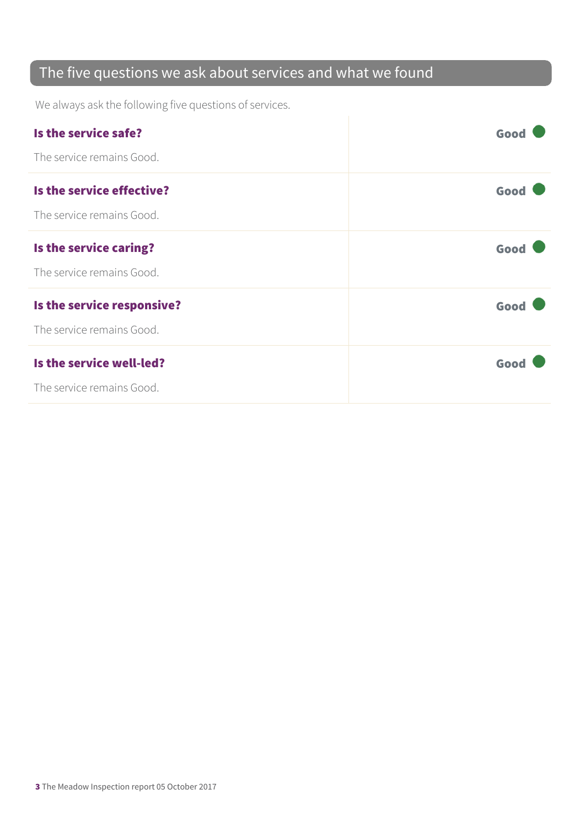#### The five questions we ask about services and what we found

We always ask the following five questions of services.

| Is the service safe?       | Good |
|----------------------------|------|
| The service remains Good.  |      |
| Is the service effective?  | Good |
| The service remains Good.  |      |
| Is the service caring?     | Good |
| The service remains Good.  |      |
| Is the service responsive? | Good |
| The service remains Good.  |      |
| Is the service well-led?   | Good |
| The service remains Good.  |      |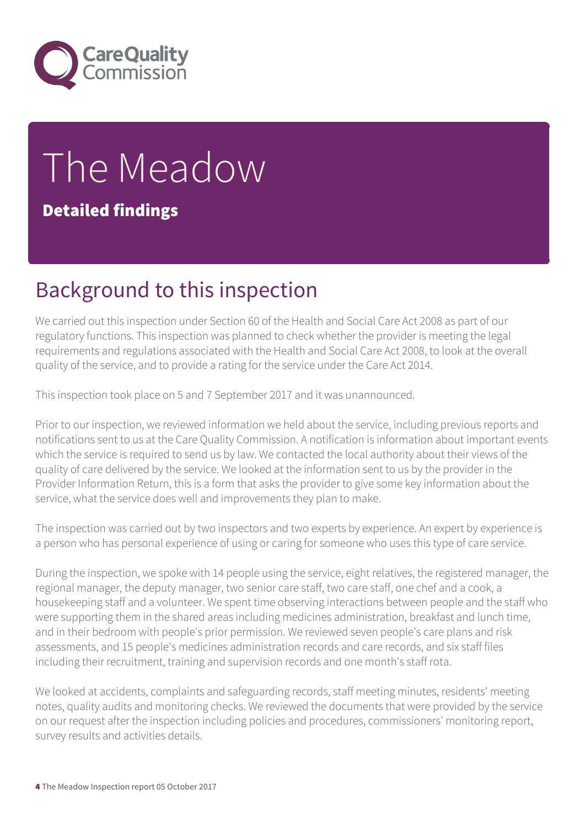

# The Meadow

#### Detailed findings

## Background to this inspection

We carried out this inspection under Section 60 of the Health and Social Care Act 2008 as part of our regulatory functions. This inspection was planned to check whether the provider is meeting the legal requirements and regulations associated with the Health and Social Care Act 2008, to look at the overall quality of the service, and to provide a rating for the service under the Care Act 2014.

This inspection took place on 5 and 7 September 2017 and it was unannounced.

Prior to our inspection, we reviewed information we held about the service, including previous reports and notifications sent to us at the Care Quality Commission. A notification is information about important events which the service is required to send us by law. We contacted the local authority about their views of the quality of care delivered by the service. We looked at the information sent to us by the provider in the Provider Information Return, this is a form that asks the provider to give some key information about the service, what the service does well and improvements they plan to make.

The inspection was carried out by two inspectors and two experts by experience. An expert by experience is a person who has personal experience of using or caring for someone who uses this type of care service.

During the inspection, we spoke with 14 people using the service, eight relatives, the registered manager, the regional manager, the deputy manager, two senior care staff, two care staff, one chef and a cook, a housekeeping staff and a volunteer. We spent time observing interactions between people and the staff who were supporting them in the shared areas including medicines administration, breakfast and lunch time, and in their bedroom with people's prior permission. We reviewed seven people's care plans and risk assessments, and 15 people's medicines administration records and care records, and six staff files including their recruitment, training and supervision records and one month's staff rota.

We looked at accidents, complaints and safeguarding records, staff meeting minutes, residents' meeting notes, quality audits and monitoring checks. We reviewed the documents that were provided by the service on our request after the inspection including policies and procedures, commissioners' monitoring report, survey results and activities details.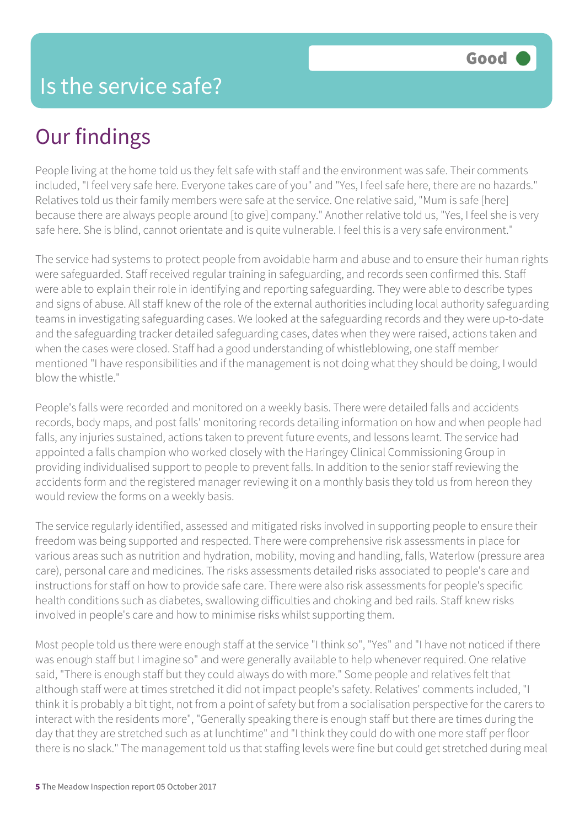## Our findings

People living at the home told us they felt safe with staff and the environment was safe. Their comments included, "I feel very safe here. Everyone takes care of you" and "Yes, I feel safe here, there are no hazards." Relatives told us their family members were safe at the service. One relative said, "Mum is safe [here] because there are always people around [to give] company." Another relative told us, "Yes, I feel she is very safe here. She is blind, cannot orientate and is quite vulnerable. I feel this is a very safe environment."

The service had systems to protect people from avoidable harm and abuse and to ensure their human rights were safeguarded. Staff received regular training in safeguarding, and records seen confirmed this. Staff were able to explain their role in identifying and reporting safeguarding. They were able to describe types and signs of abuse. All staff knew of the role of the external authorities including local authority safeguarding teams in investigating safeguarding cases. We looked at the safeguarding records and they were up-to-date and the safeguarding tracker detailed safeguarding cases, dates when they were raised, actions taken and when the cases were closed. Staff had a good understanding of whistleblowing, one staff member mentioned "I have responsibilities and if the management is not doing what they should be doing, I would blow the whistle."

People's falls were recorded and monitored on a weekly basis. There were detailed falls and accidents records, body maps, and post falls' monitoring records detailing information on how and when people had falls, any injuries sustained, actions taken to prevent future events, and lessons learnt. The service had appointed a falls champion who worked closely with the Haringey Clinical Commissioning Group in providing individualised support to people to prevent falls. In addition to the senior staff reviewing the accidents form and the registered manager reviewing it on a monthly basis they told us from hereon they would review the forms on a weekly basis.

The service regularly identified, assessed and mitigated risks involved in supporting people to ensure their freedom was being supported and respected. There were comprehensive risk assessments in place for various areas such as nutrition and hydration, mobility, moving and handling, falls, Waterlow (pressure area care), personal care and medicines. The risks assessments detailed risks associated to people's care and instructions for staff on how to provide safe care. There were also risk assessments for people's specific health conditions such as diabetes, swallowing difficulties and choking and bed rails. Staff knew risks involved in people's care and how to minimise risks whilst supporting them.

Most people told us there were enough staff at the service "I think so", "Yes" and "I have not noticed if there was enough staff but I imagine so" and were generally available to help whenever required. One relative said, "There is enough staff but they could always do with more." Some people and relatives felt that although staff were at times stretched it did not impact people's safety. Relatives' comments included, "I think it is probably a bit tight, not from a point of safety but from a socialisation perspective for the carers to interact with the residents more", "Generally speaking there is enough staff but there are times during the day that they are stretched such as at lunchtime" and "I think they could do with one more staff per floor there is no slack." The management told us that staffing levels were fine but could get stretched during meal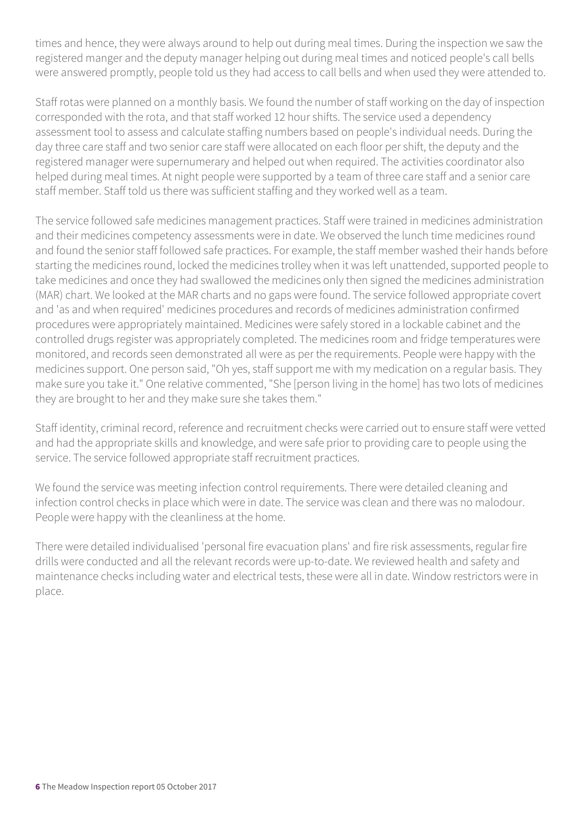times and hence, they were always around to help out during meal times. During the inspection we saw the registered manger and the deputy manager helping out during meal times and noticed people's call bells were answered promptly, people told us they had access to call bells and when used they were attended to.

Staff rotas were planned on a monthly basis. We found the number of staff working on the day of inspection corresponded with the rota, and that staff worked 12 hour shifts. The service used a dependency assessment tool to assess and calculate staffing numbers based on people's individual needs. During the day three care staff and two senior care staff were allocated on each floor per shift, the deputy and the registered manager were supernumerary and helped out when required. The activities coordinator also helped during meal times. At night people were supported by a team of three care staff and a senior care staff member. Staff told us there was sufficient staffing and they worked well as a team.

The service followed safe medicines management practices. Staff were trained in medicines administration and their medicines competency assessments were in date. We observed the lunch time medicines round and found the senior staff followed safe practices. For example, the staff member washed their hands before starting the medicines round, locked the medicines trolley when it was left unattended, supported people to take medicines and once they had swallowed the medicines only then signed the medicines administration (MAR) chart. We looked at the MAR charts and no gaps were found. The service followed appropriate covert and 'as and when required' medicines procedures and records of medicines administration confirmed procedures were appropriately maintained. Medicines were safely stored in a lockable cabinet and the controlled drugs register was appropriately completed. The medicines room and fridge temperatures were monitored, and records seen demonstrated all were as per the requirements. People were happy with the medicines support. One person said, "Oh yes, staff support me with my medication on a regular basis. They make sure you take it." One relative commented, "She [person living in the home] has two lots of medicines they are brought to her and they make sure she takes them."

Staff identity, criminal record, reference and recruitment checks were carried out to ensure staff were vetted and had the appropriate skills and knowledge, and were safe prior to providing care to people using the service. The service followed appropriate staff recruitment practices.

We found the service was meeting infection control requirements. There were detailed cleaning and infection control checks in place which were in date. The service was clean and there was no malodour. People were happy with the cleanliness at the home.

There were detailed individualised 'personal fire evacuation plans' and fire risk assessments, regular fire drills were conducted and all the relevant records were up-to-date. We reviewed health and safety and maintenance checks including water and electrical tests, these were all in date. Window restrictors were in place.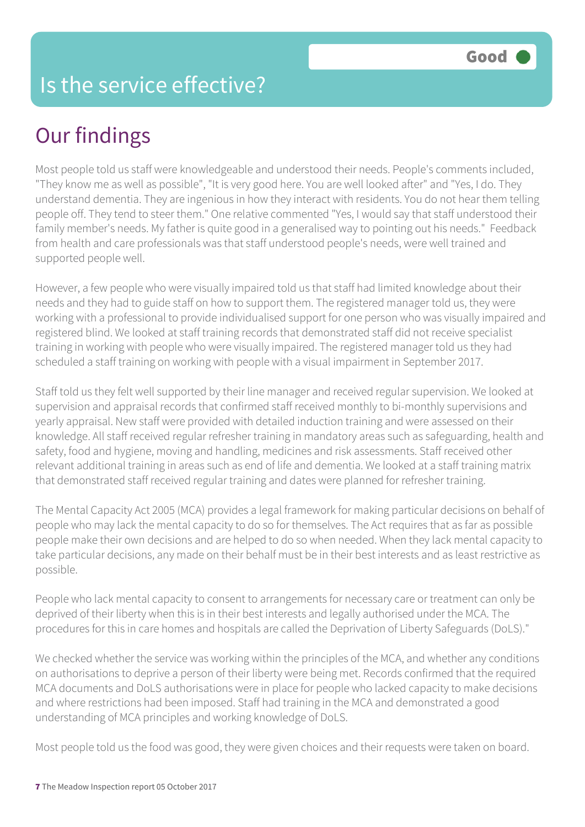#### Is the service effective?

## Our findings

Most people told us staff were knowledgeable and understood their needs. People's comments included, "They know me as well as possible", "It is very good here. You are well looked after" and "Yes, I do. They understand dementia. They are ingenious in how they interact with residents. You do not hear them telling people off. They tend to steer them." One relative commented "Yes, I would say that staff understood their family member's needs. My father is quite good in a generalised way to pointing out his needs." Feedback from health and care professionals was that staff understood people's needs, were well trained and supported people well.

However, a few people who were visually impaired told us that staff had limited knowledge about their needs and they had to guide staff on how to support them. The registered manager told us, they were working with a professional to provide individualised support for one person who was visually impaired and registered blind. We looked at staff training records that demonstrated staff did not receive specialist training in working with people who were visually impaired. The registered manager told us they had scheduled a staff training on working with people with a visual impairment in September 2017.

Staff told us they felt well supported by their line manager and received regular supervision. We looked at supervision and appraisal records that confirmed staff received monthly to bi-monthly supervisions and yearly appraisal. New staff were provided with detailed induction training and were assessed on their knowledge. All staff received regular refresher training in mandatory areas such as safeguarding, health and safety, food and hygiene, moving and handling, medicines and risk assessments. Staff received other relevant additional training in areas such as end of life and dementia. We looked at a staff training matrix that demonstrated staff received regular training and dates were planned for refresher training.

The Mental Capacity Act 2005 (MCA) provides a legal framework for making particular decisions on behalf of people who may lack the mental capacity to do so for themselves. The Act requires that as far as possible people make their own decisions and are helped to do so when needed. When they lack mental capacity to take particular decisions, any made on their behalf must be in their best interests and as least restrictive as possible.

People who lack mental capacity to consent to arrangements for necessary care or treatment can only be deprived of their liberty when this is in their best interests and legally authorised under the MCA. The procedures for this in care homes and hospitals are called the Deprivation of Liberty Safeguards (DoLS)."

We checked whether the service was working within the principles of the MCA, and whether any conditions on authorisations to deprive a person of their liberty were being met. Records confirmed that the required MCA documents and DoLS authorisations were in place for people who lacked capacity to make decisions and where restrictions had been imposed. Staff had training in the MCA and demonstrated a good understanding of MCA principles and working knowledge of DoLS.

Most people told us the food was good, they were given choices and their requests were taken on board.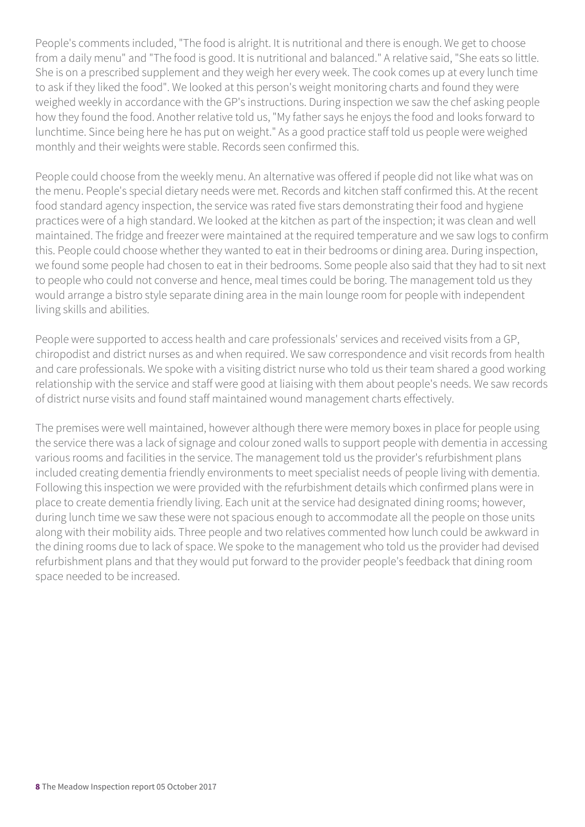People's comments included, "The food is alright. It is nutritional and there is enough. We get to choose from a daily menu" and "The food is good. It is nutritional and balanced." A relative said, "She eats so little. She is on a prescribed supplement and they weigh her every week. The cook comes up at every lunch time to ask if they liked the food". We looked at this person's weight monitoring charts and found they were weighed weekly in accordance with the GP's instructions. During inspection we saw the chef asking people how they found the food. Another relative told us, "My father says he enjoys the food and looks forward to lunchtime. Since being here he has put on weight." As a good practice staff told us people were weighed monthly and their weights were stable. Records seen confirmed this.

People could choose from the weekly menu. An alternative was offered if people did not like what was on the menu. People's special dietary needs were met. Records and kitchen staff confirmed this. At the recent food standard agency inspection, the service was rated five stars demonstrating their food and hygiene practices were of a high standard. We looked at the kitchen as part of the inspection; it was clean and well maintained. The fridge and freezer were maintained at the required temperature and we saw logs to confirm this. People could choose whether they wanted to eat in their bedrooms or dining area. During inspection, we found some people had chosen to eat in their bedrooms. Some people also said that they had to sit next to people who could not converse and hence, meal times could be boring. The management told us they would arrange a bistro style separate dining area in the main lounge room for people with independent living skills and abilities.

People were supported to access health and care professionals' services and received visits from a GP, chiropodist and district nurses as and when required. We saw correspondence and visit records from health and care professionals. We spoke with a visiting district nurse who told us their team shared a good working relationship with the service and staff were good at liaising with them about people's needs. We saw records of district nurse visits and found staff maintained wound management charts effectively.

The premises were well maintained, however although there were memory boxes in place for people using the service there was a lack of signage and colour zoned walls to support people with dementia in accessing various rooms and facilities in the service. The management told us the provider's refurbishment plans included creating dementia friendly environments to meet specialist needs of people living with dementia. Following this inspection we were provided with the refurbishment details which confirmed plans were in place to create dementia friendly living. Each unit at the service had designated dining rooms; however, during lunch time we saw these were not spacious enough to accommodate all the people on those units along with their mobility aids. Three people and two relatives commented how lunch could be awkward in the dining rooms due to lack of space. We spoke to the management who told us the provider had devised refurbishment plans and that they would put forward to the provider people's feedback that dining room space needed to be increased.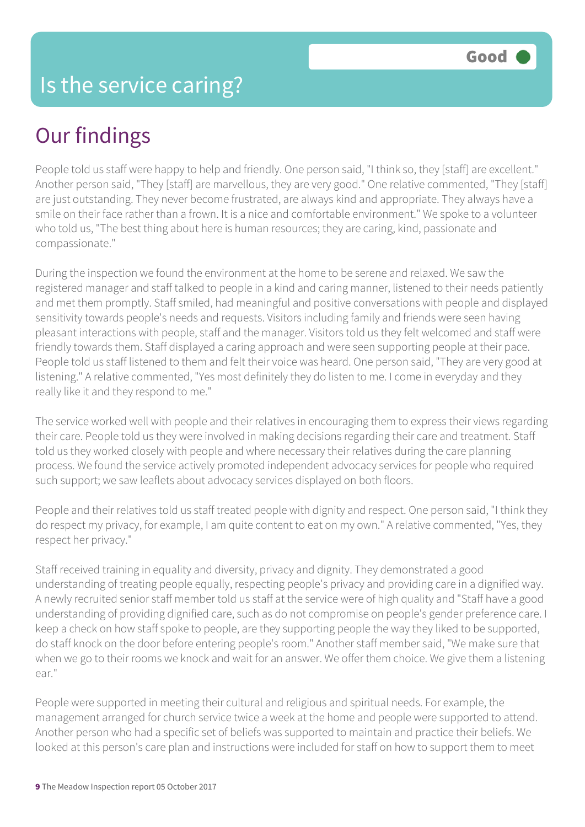## Our findings

People told us staff were happy to help and friendly. One person said, "I think so, they [staff] are excellent." Another person said, "They [staff] are marvellous, they are very good." One relative commented, "They [staff] are just outstanding. They never become frustrated, are always kind and appropriate. They always have a smile on their face rather than a frown. It is a nice and comfortable environment." We spoke to a volunteer who told us, "The best thing about here is human resources; they are caring, kind, passionate and compassionate."

During the inspection we found the environment at the home to be serene and relaxed. We saw the registered manager and staff talked to people in a kind and caring manner, listened to their needs patiently and met them promptly. Staff smiled, had meaningful and positive conversations with people and displayed sensitivity towards people's needs and requests. Visitors including family and friends were seen having pleasant interactions with people, staff and the manager. Visitors told us they felt welcomed and staff were friendly towards them. Staff displayed a caring approach and were seen supporting people at their pace. People told us staff listened to them and felt their voice was heard. One person said, "They are very good at listening." A relative commented, "Yes most definitely they do listen to me. I come in everyday and they really like it and they respond to me."

The service worked well with people and their relatives in encouraging them to express their views regarding their care. People told us they were involved in making decisions regarding their care and treatment. Staff told us they worked closely with people and where necessary their relatives during the care planning process. We found the service actively promoted independent advocacy services for people who required such support; we saw leaflets about advocacy services displayed on both floors.

People and their relatives told us staff treated people with dignity and respect. One person said, "I think they do respect my privacy, for example, I am quite content to eat on my own." A relative commented, "Yes, they respect her privacy."

Staff received training in equality and diversity, privacy and dignity. They demonstrated a good understanding of treating people equally, respecting people's privacy and providing care in a dignified way. A newly recruited senior staff member told us staff at the service were of high quality and "Staff have a good understanding of providing dignified care, such as do not compromise on people's gender preference care. I keep a check on how staff spoke to people, are they supporting people the way they liked to be supported, do staff knock on the door before entering people's room." Another staff member said, "We make sure that when we go to their rooms we knock and wait for an answer. We offer them choice. We give them a listening ear."

People were supported in meeting their cultural and religious and spiritual needs. For example, the management arranged for church service twice a week at the home and people were supported to attend. Another person who had a specific set of beliefs was supported to maintain and practice their beliefs. We looked at this person's care plan and instructions were included for staff on how to support them to meet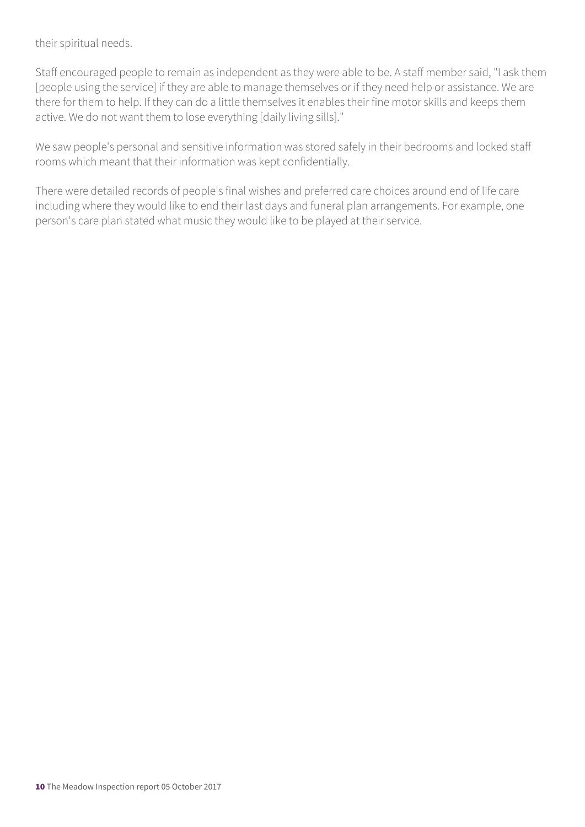their spiritual needs.

Staff encouraged people to remain as independent as they were able to be. A staff member said, "I ask them [people using the service] if they are able to manage themselves or if they need help or assistance. We are there for them to help. If they can do a little themselves it enables their fine motor skills and keeps them active. We do not want them to lose everything [daily living sills]."

We saw people's personal and sensitive information was stored safely in their bedrooms and locked staff rooms which meant that their information was kept confidentially.

There were detailed records of people's final wishes and preferred care choices around end of life care including where they would like to end their last days and funeral plan arrangements. For example, one person's care plan stated what music they would like to be played at their service.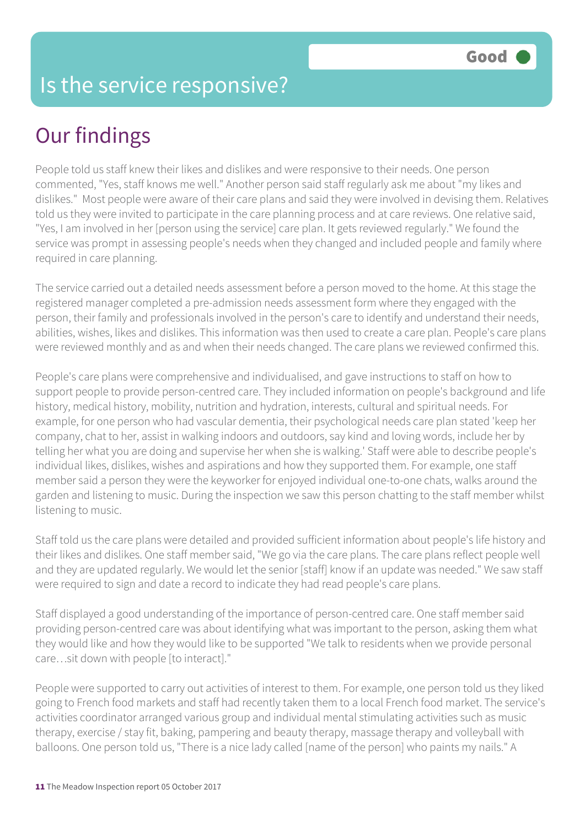#### Is the service responsive?

## Our findings

People told us staff knew their likes and dislikes and were responsive to their needs. One person commented, "Yes, staff knows me well." Another person said staff regularly ask me about "my likes and dislikes." Most people were aware of their care plans and said they were involved in devising them. Relatives told us they were invited to participate in the care planning process and at care reviews. One relative said, "Yes, I am involved in her [person using the service] care plan. It gets reviewed regularly." We found the service was prompt in assessing people's needs when they changed and included people and family where required in care planning.

The service carried out a detailed needs assessment before a person moved to the home. At this stage the registered manager completed a pre-admission needs assessment form where they engaged with the person, their family and professionals involved in the person's care to identify and understand their needs, abilities, wishes, likes and dislikes. This information was then used to create a care plan. People's care plans were reviewed monthly and as and when their needs changed. The care plans we reviewed confirmed this.

People's care plans were comprehensive and individualised, and gave instructions to staff on how to support people to provide person-centred care. They included information on people's background and life history, medical history, mobility, nutrition and hydration, interests, cultural and spiritual needs. For example, for one person who had vascular dementia, their psychological needs care plan stated 'keep her company, chat to her, assist in walking indoors and outdoors, say kind and loving words, include her by telling her what you are doing and supervise her when she is walking.' Staff were able to describe people's individual likes, dislikes, wishes and aspirations and how they supported them. For example, one staff member said a person they were the keyworker for enjoyed individual one-to-one chats, walks around the garden and listening to music. During the inspection we saw this person chatting to the staff member whilst listening to music.

Staff told us the care plans were detailed and provided sufficient information about people's life history and their likes and dislikes. One staff member said, "We go via the care plans. The care plans reflect people well and they are updated regularly. We would let the senior [staff] know if an update was needed." We saw staff were required to sign and date a record to indicate they had read people's care plans.

Staff displayed a good understanding of the importance of person-centred care. One staff member said providing person-centred care was about identifying what was important to the person, asking them what they would like and how they would like to be supported "We talk to residents when we provide personal care…sit down with people [to interact]."

People were supported to carry out activities of interest to them. For example, one person told us they liked going to French food markets and staff had recently taken them to a local French food market. The service's activities coordinator arranged various group and individual mental stimulating activities such as music therapy, exercise / stay fit, baking, pampering and beauty therapy, massage therapy and volleyball with balloons. One person told us, "There is a nice lady called [name of the person] who paints my nails." A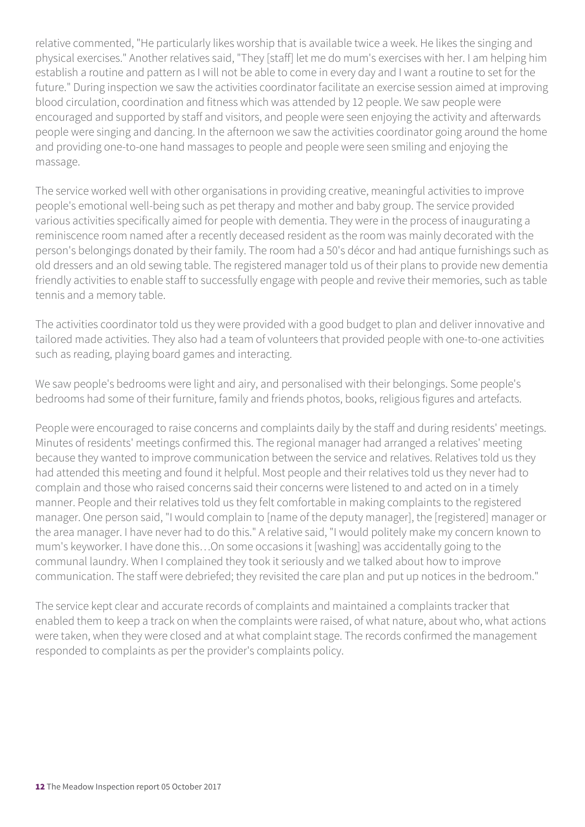relative commented, "He particularly likes worship that is available twice a week. He likes the singing and physical exercises." Another relatives said, "They [staff] let me do mum's exercises with her. I am helping him establish a routine and pattern as I will not be able to come in every day and I want a routine to set for the future." During inspection we saw the activities coordinator facilitate an exercise session aimed at improving blood circulation, coordination and fitness which was attended by 12 people. We saw people were encouraged and supported by staff and visitors, and people were seen enjoying the activity and afterwards people were singing and dancing. In the afternoon we saw the activities coordinator going around the home and providing one-to-one hand massages to people and people were seen smiling and enjoying the massage.

The service worked well with other organisations in providing creative, meaningful activities to improve people's emotional well-being such as pet therapy and mother and baby group. The service provided various activities specifically aimed for people with dementia. They were in the process of inaugurating a reminiscence room named after a recently deceased resident as the room was mainly decorated with the person's belongings donated by their family. The room had a 50's décor and had antique furnishings such as old dressers and an old sewing table. The registered manager told us of their plans to provide new dementia friendly activities to enable staff to successfully engage with people and revive their memories, such as table tennis and a memory table.

The activities coordinator told us they were provided with a good budget to plan and deliver innovative and tailored made activities. They also had a team of volunteers that provided people with one-to-one activities such as reading, playing board games and interacting.

We saw people's bedrooms were light and airy, and personalised with their belongings. Some people's bedrooms had some of their furniture, family and friends photos, books, religious figures and artefacts.

People were encouraged to raise concerns and complaints daily by the staff and during residents' meetings. Minutes of residents' meetings confirmed this. The regional manager had arranged a relatives' meeting because they wanted to improve communication between the service and relatives. Relatives told us they had attended this meeting and found it helpful. Most people and their relatives told us they never had to complain and those who raised concerns said their concerns were listened to and acted on in a timely manner. People and their relatives told us they felt comfortable in making complaints to the registered manager. One person said, "I would complain to [name of the deputy manager], the [registered] manager or the area manager. I have never had to do this." A relative said, "I would politely make my concern known to mum's keyworker. I have done this…On some occasions it [washing] was accidentally going to the communal laundry. When I complained they took it seriously and we talked about how to improve communication. The staff were debriefed; they revisited the care plan and put up notices in the bedroom."

The service kept clear and accurate records of complaints and maintained a complaints tracker that enabled them to keep a track on when the complaints were raised, of what nature, about who, what actions were taken, when they were closed and at what complaint stage. The records confirmed the management responded to complaints as per the provider's complaints policy.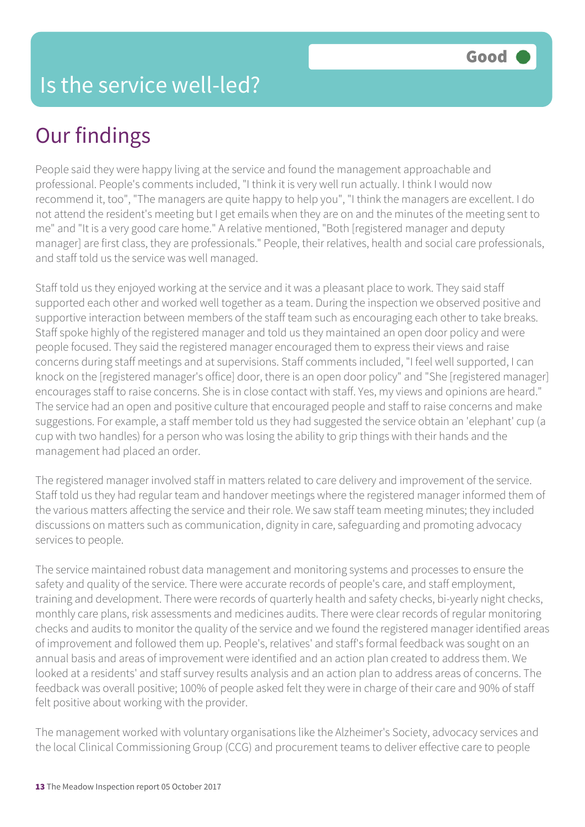## Our findings

People said they were happy living at the service and found the management approachable and professional. People's comments included, "I think it is very well run actually. I think I would now recommend it, too", "The managers are quite happy to help you", "I think the managers are excellent. I do not attend the resident's meeting but I get emails when they are on and the minutes of the meeting sent to me" and "It is a very good care home." A relative mentioned, "Both [registered manager and deputy manager] are first class, they are professionals." People, their relatives, health and social care professionals, and staff told us the service was well managed.

Staff told us they enjoyed working at the service and it was a pleasant place to work. They said staff supported each other and worked well together as a team. During the inspection we observed positive and supportive interaction between members of the staff team such as encouraging each other to take breaks. Staff spoke highly of the registered manager and told us they maintained an open door policy and were people focused. They said the registered manager encouraged them to express their views and raise concerns during staff meetings and at supervisions. Staff comments included, "I feel well supported, I can knock on the [registered manager's office] door, there is an open door policy" and "She [registered manager] encourages staff to raise concerns. She is in close contact with staff. Yes, my views and opinions are heard." The service had an open and positive culture that encouraged people and staff to raise concerns and make suggestions. For example, a staff member told us they had suggested the service obtain an 'elephant' cup (a cup with two handles) for a person who was losing the ability to grip things with their hands and the management had placed an order.

The registered manager involved staff in matters related to care delivery and improvement of the service. Staff told us they had regular team and handover meetings where the registered manager informed them of the various matters affecting the service and their role. We saw staff team meeting minutes; they included discussions on matters such as communication, dignity in care, safeguarding and promoting advocacy services to people.

The service maintained robust data management and monitoring systems and processes to ensure the safety and quality of the service. There were accurate records of people's care, and staff employment, training and development. There were records of quarterly health and safety checks, bi-yearly night checks, monthly care plans, risk assessments and medicines audits. There were clear records of regular monitoring checks and audits to monitor the quality of the service and we found the registered manager identified areas of improvement and followed them up. People's, relatives' and staff's formal feedback was sought on an annual basis and areas of improvement were identified and an action plan created to address them. We looked at a residents' and staff survey results analysis and an action plan to address areas of concerns. The feedback was overall positive; 100% of people asked felt they were in charge of their care and 90% of staff felt positive about working with the provider.

The management worked with voluntary organisations like the Alzheimer's Society, advocacy services and the local Clinical Commissioning Group (CCG) and procurement teams to deliver effective care to people